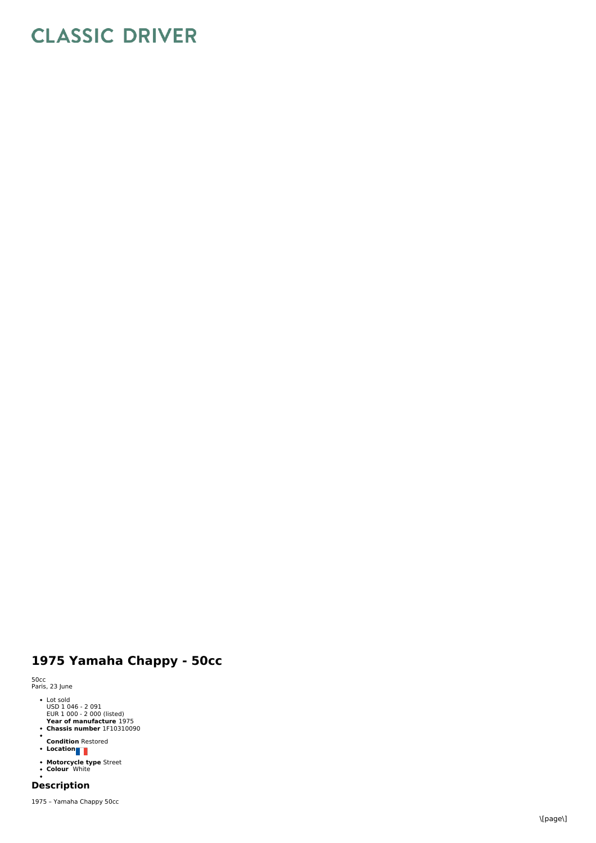# **CLASSIC DRIVER**

## **1 9 7 5 Y a m a h a C h a p p y - 5 0 c c**

5 0 c c P a ris, 2 3 Ju n e

- 
- Lot sold<br>USD 1 046 2 091<br>EUR 1 000 2 000 (listed)
- **Year of manufacture** 1975<br>**Chassis number** 1F10310090
- 
- **C o n ditio n** R e s t o r e d **L o c a tio n**
- 
- **Motorcycle type** Street<br>Colour White

## **Description**

1975 – Yamaha Chappy 50cc